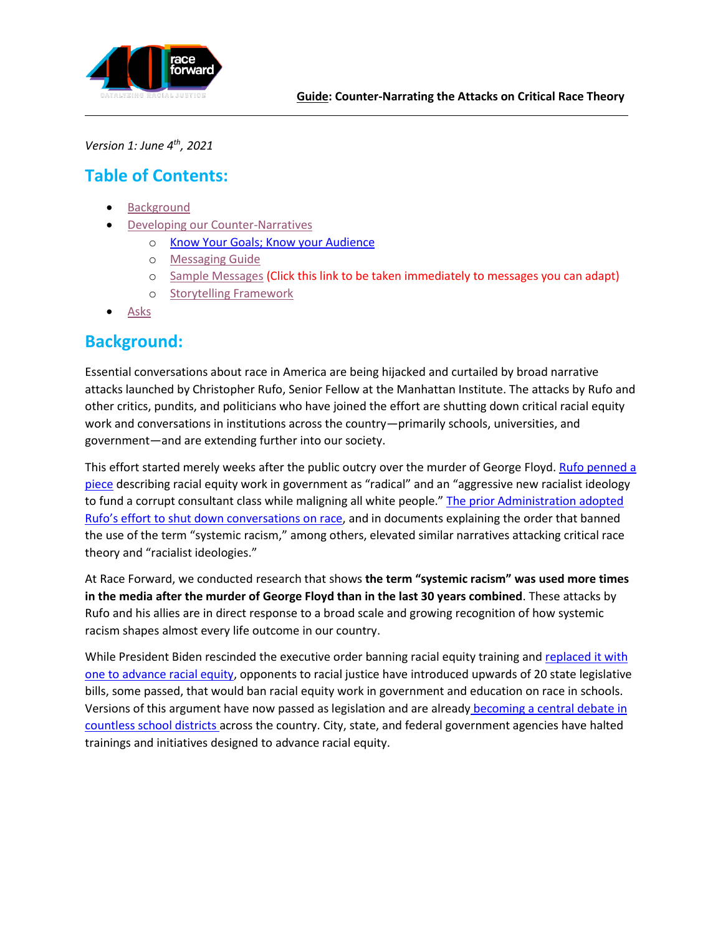

*Version 1: June 4th, 2021*

# **Table of Contents:**

- **[Background](#page-0-0)**
- <span id="page-0-1"></span>• [Developing our Counter-Narratives](#page-2-0)
	- o [Know Your Goals; Know your Audience](#page-0-1)
	- o [Messaging Guide](#page-4-0)
	- o [Sample Messages](#page-4-1) (Click this link to be taken immediately to messages you can adapt)
	- o [Storytelling Framework](#page-7-0)
- [Asks](#page-9-0)

### <span id="page-0-0"></span>**Background:**

Essential conversations about race in America are being hijacked and curtailed by broad narrative attacks launched by Christopher Rufo, Senior Fellow at the Manhattan Institute. The attacks by Rufo and other critics, pundits, and politicians who have joined the effort are shutting down critical racial equity work and conversations in institutions across the country—primarily schools, universities, and government—and are extending further into our society.

This effort started merely weeks after the public outcry over the murder of George Floyd. Rufo penned a [piece](https://www.city-journal.org/white-fragility-comes-to-washington?wallit_nosession=1) describing racial equity work in government as "radical" and an "aggressive new racialist ideology to fund a corrupt consultant class while maligning all white people." [The prior Administration adopted](https://www.nytimes.com/2020/10/13/us/politics/trump-diversity-training-race.html)  [Rufo's effort to shut down conversation](https://www.nytimes.com/2020/10/13/us/politics/trump-diversity-training-race.html)s on race, and in documents explaining the order that banned the use of the term "systemic racism," among others, elevated similar narratives attacking critical race theory and "racialist ideologies."

At Race Forward, we conducted research that shows **the term "systemic racism" was used more times in the media after the murder of George Floyd than in the last 30 years combined**. These attacks by Rufo and his allies are in direct response to a broad scale and growing recognition of how systemic racism shapes almost every life outcome in our country.

While President Biden rescinded the executive order banning racial equity training and replaced it with [one to advance racial equity,](https://www.whitehouse.gov/briefing-room/presidential-actions/2021/01/20/executive-order-advancing-racial-equity-and-support-for-underserved-communities-through-the-federal-government/) opponents to racial justice have introduced upwards of 20 state legislative bills, some passed, that would ban racial equity work in government and education on race in schools. Versions of this argument have now passed as legislation and are already [becoming a central debate in](https://www.politico.com/states/new-york/albany/story/2021/05/11/shadowy-group-brings-culture-war-to-smithtown-school-board-election-1381337)  [countless school districts a](https://www.politico.com/states/new-york/albany/story/2021/05/11/shadowy-group-brings-culture-war-to-smithtown-school-board-election-1381337)cross the country. City, state, and federal government agencies have halted trainings and initiatives designed to advance racial equity.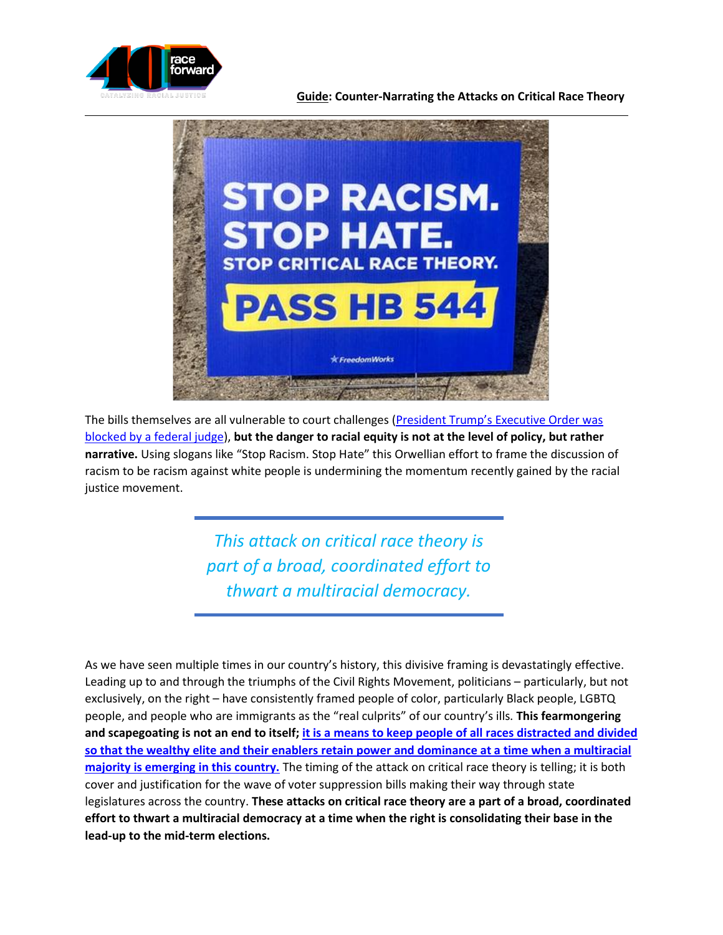

#### **Guide: Counter-Narrating the Attacks on Critical Race Theory**



The bills themselves are all vulnerable to court challenges ([President Trump's Executive Order was](https://www.usatoday.com/story/money/2020/12/23/trump-diversity-training-ban-executive-order-blocked-federal-judge/4033590001/)  [blocked by a federal judge\)](https://www.usatoday.com/story/money/2020/12/23/trump-diversity-training-ban-executive-order-blocked-federal-judge/4033590001/), **but the danger to racial equity is not at the level of policy, but rather narrative.** Using slogans like "Stop Racism. Stop Hate" this Orwellian effort to frame the discussion of racism to be racism against white people is undermining the momentum recently gained by the racial justice movement.

> *This attack on critical race theory is part of a broad, coordinated effort to thwart a multiracial democracy.*

As we have seen multiple times in our country's history, this divisive framing is devastatingly effective. Leading up to and through the triumphs of the Civil Rights Movement, politicians – particularly, but not exclusively, on the right – have consistently framed people of color, particularly Black people, LGBTQ people, and people who are immigrants as the "real culprits" of our country's ills. **This fearmongering and scapegoating is not an end to itself; [it is a means to keep people of all races distracted and divided](https://www.mediamatters.org/diversity-discrimination/fox-news-fearmongering-about-critical-race-theory-all-about-midterm)  so that the wealthy elite and their enablers [retain power and dominance at a time when a multiracial](https://www.mediamatters.org/diversity-discrimination/fox-news-fearmongering-about-critical-race-theory-all-about-midterm)  [majority is emerging in this country.](https://www.mediamatters.org/diversity-discrimination/fox-news-fearmongering-about-critical-race-theory-all-about-midterm)** The timing of the attack on critical race theory is telling; it is both cover and justification for the wave of voter suppression bills making their way through state legislatures across the country. **These attacks on critical race theory are a part of a broad, coordinated effort to thwart a multiracial democracy at a time when the right is consolidating their base in the lead-up to the mid-term elections.**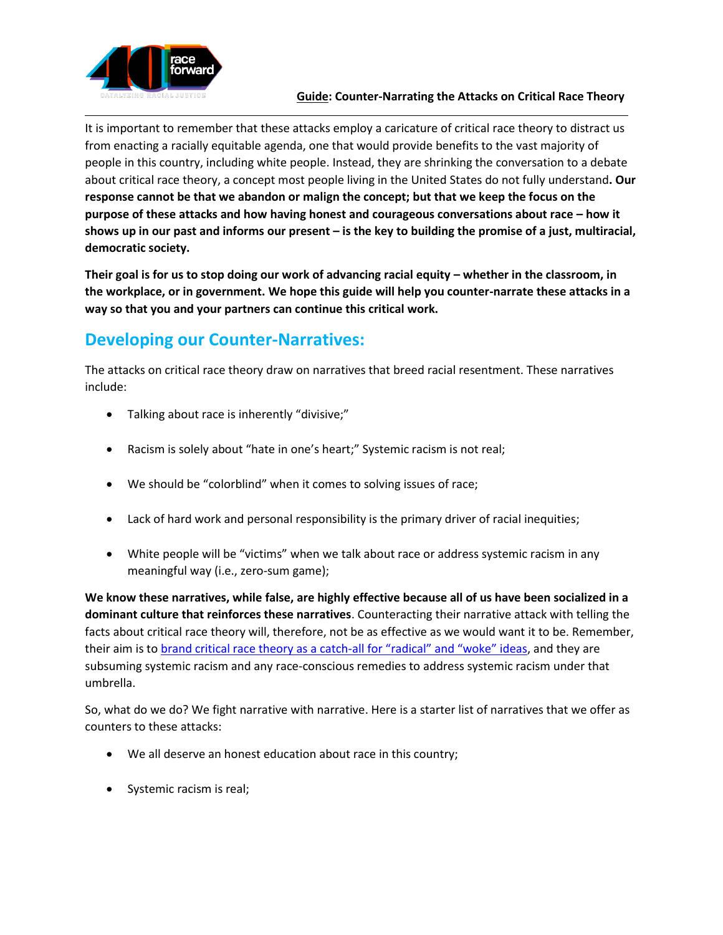

**Guide: Counter-Narrating the Attacks on Critical Race Theory**

It is important to remember that these attacks employ a caricature of critical race theory to distract us from enacting a racially equitable agenda, one that would provide benefits to the vast majority of people in this country, including white people. Instead, they are shrinking the conversation to a debate about critical race theory, a concept most people living in the United States do not fully understand**. Our response cannot be that we abandon or malign the concept; but that we keep the focus on the purpose of these attacks and how having honest and courageous conversations about race – how it shows up in our past and informs our present – is the key to building the promise of a just, multiracial, democratic society.**

**Their goal is for us to stop doing our work of advancing racial equity – whether in the classroom, in the workplace, or in government. We hope this guide will help you counter-narrate these attacks in a way so that you and your partners can continue this critical work.**

# <span id="page-2-0"></span>**Developing our Counter-Narratives:**

The attacks on critical race theory draw on narratives that breed racial resentment. These narratives include:

- Talking about race is inherently "divisive;"
- Racism is solely about "hate in one's heart;" Systemic racism is not real;
- We should be "colorblind" when it comes to solving issues of race;
- Lack of hard work and personal responsibility is the primary driver of racial inequities;
- White people will be "victims" when we talk about race or address systemic racism in any meaningful way (i.e., zero-sum game);

**We know these narratives, while false, are highly effective because all of us have been socialized in a dominant culture that reinforces these narratives**. Counteracting their narrative attack with telling the facts about critical race theory will, therefore, not be as effective as we would want it to be. Remember, their aim is to [brand critical race theory as a catch-](https://twitter.com/IanHaneyLopez/status/1390003599405580299?cn=ZmxleGlibGVfcmVjcw%3D%3D&refsrc=email)all for "radical" and "woke" ideas, and they are subsuming systemic racism and any race-conscious remedies to address systemic racism under that umbrella.

So, what do we do? We fight narrative with narrative. Here is a starter list of narratives that we offer as counters to these attacks:

- We all deserve an honest education about race in this country;
- Systemic racism is real;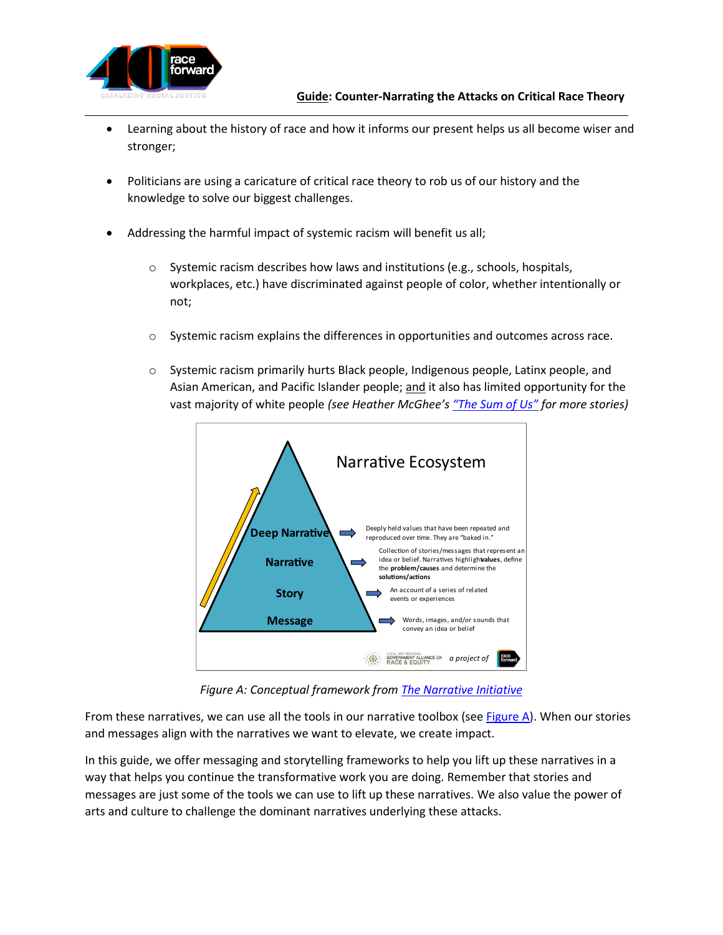

- Learning about the history of race and how it informs our present helps us all become wiser and stronger;
- Politicians are using a caricature of critical race theory to rob us of our history and the knowledge to solve our biggest challenges.
- Addressing the harmful impact of systemic racism will benefit us all;
	- $\circ$  Systemic racism describes how laws and institutions (e.g., schools, hospitals, workplaces, etc.) have discriminated against people of color, whether intentionally or not;
	- $\circ$  Systemic racism explains the differences in opportunities and outcomes across race.
	- o Systemic racism primarily hurts Black people, Indigenous people, Latinx people, and Asian American, and Pacific Islander people; and it also has limited opportunity for the vast majority of white people *(see Heather McGhee's ["The Sum of Us"](https://bookshop.org/books/the-sum-of-us-what-racism-costs-everyone-and-how-we-can-prosper-together/9780525509561) for more stories)*



*Figure A: Conceptual framework fro[m The Narrative Initiative](https://narrativeinitiative.org/resource/toward-new-gravity/)*

<span id="page-3-0"></span>From these narratives, we can use all the tools in our narrative toolbox (se[e Figure A\)](#page-3-0). When our stories and messages align with the narratives we want to elevate, we create impact.

In this guide, we offer messaging and storytelling frameworks to help you lift up these narratives in a way that helps you continue the transformative work you are doing. Remember that stories and messages are just some of the tools we can use to lift up these narratives. We also value the power of arts and culture to challenge the dominant narratives underlying these attacks.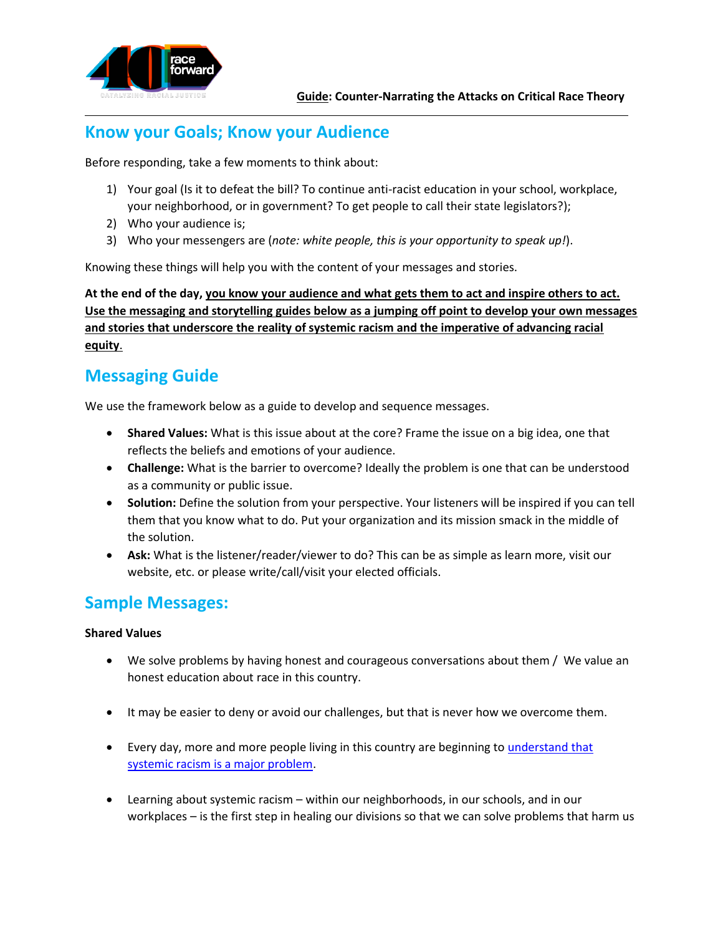

## **Know your Goals; Know your Audience**

Before responding, take a few moments to think about:

- 1) Your goal (Is it to defeat the bill? To continue anti-racist education in your school, workplace, your neighborhood, or in government? To get people to call their state legislators?);
- 2) Who your audience is;
- 3) Who your messengers are (*note: white people, this is your opportunity to speak up!*).

Knowing these things will help you with the content of your messages and stories.

**At the end of the day, you know your audience and what gets them to act and inspire others to act. Use the messaging and storytelling guides below as a jumping off point to develop your own messages and stories that underscore the reality of systemic racism and the imperative of advancing racial equity**.

### <span id="page-4-0"></span>**Messaging Guide**

We use the framework below as a guide to develop and sequence messages.

- **Shared Values:** What is this issue about at the core? Frame the issue on a big idea, one that reflects the beliefs and emotions of your audience.
- **Challenge:** What is the barrier to overcome? Ideally the problem is one that can be understood as a community or public issue.
- **Solution:** Define the solution from your perspective. Your listeners will be inspired if you can tell them that you know what to do. Put your organization and its mission smack in the middle of the solution.
- **Ask:** What is the listener/reader/viewer to do? This can be as simple as learn more, visit our website, etc. or please write/call/visit your elected officials.

### <span id="page-4-1"></span>**Sample Messages:**

#### **Shared Values**

- We solve problems by having honest and courageous conversations about them / We value an honest education about race in this country.
- It may be easier to deny or avoid our challenges, but that is never how we overcome them.
- Every day, more and more people living in this country are beginning to [understand that](https://www.npr.org/2020/06/21/881477657/poll-majority-of-americans-say-racial-discrimination-is-a-big-problem)  [systemic racism is a major problem.](https://www.npr.org/2020/06/21/881477657/poll-majority-of-americans-say-racial-discrimination-is-a-big-problem)
- Learning about systemic racism within our neighborhoods, in our schools, and in our workplaces – is the first step in healing our divisions so that we can solve problems that harm us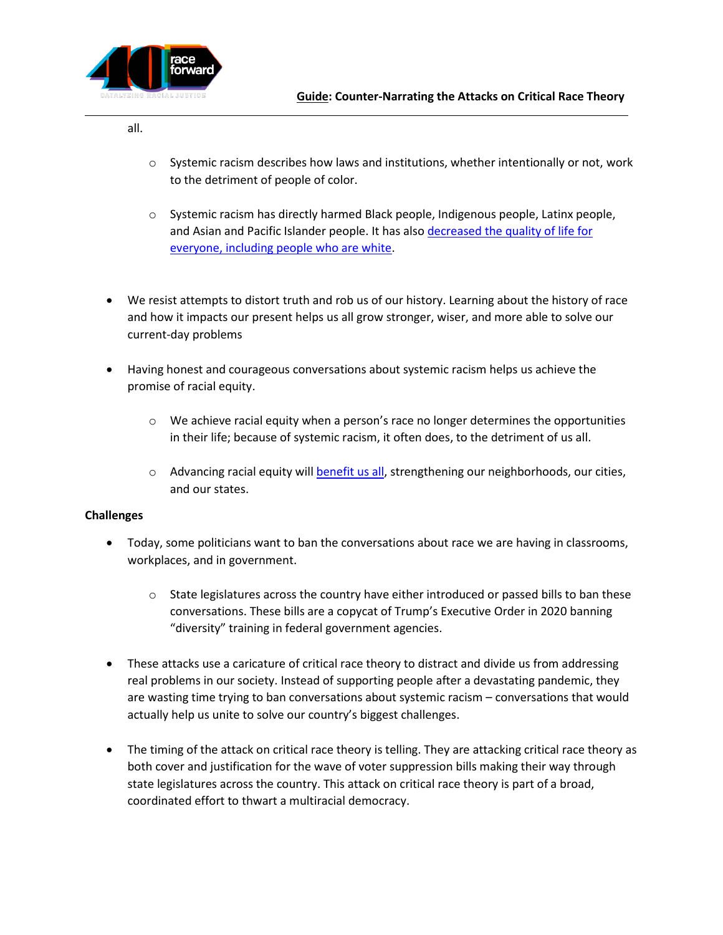

all.

- $\circ$  Systemic racism describes how laws and institutions, whether intentionally or not, work to the detriment of people of color.
- $\circ$  Systemic racism has directly harmed Black people, Indigenous people, Latinx people, and Asian and Pacific Islander people. It has also decreased the quality of life for [everyone,](https://www.kmov.com/news/history-of-fairground-park-pool-drained-swimming-pool-shows-how-racism-harms-others-too/article_e019ad04-fd8a-5165-be44-796893d28f69.html) including people who are white.
- We resist attempts to distort truth and rob us of our history. Learning about the history of race and how it impacts our present helps us all grow stronger, wiser, and more able to solve our current-day problems
- Having honest and courageous conversations about systemic racism helps us achieve the promise of racial equity.
	- $\circ$  We achieve racial equity when a person's race no longer determines the opportunities in their life; because of systemic racism, it often does, to the detriment of us all.
	- $\circ$  Advancing racial equity will [benefit us all,](https://nextcity.org/daily/entry/cost-of-segregation-report-three-steps) strengthening our neighborhoods, our cities, and our states.

#### **Challenges**

- Today, some politicians want to ban the conversations about race we are having in classrooms, workplaces, and in government.
	- $\circ$  State legislatures across the country have either introduced or passed bills to ban these conversations. These bills are a copycat of Trump's Executive Order in 2020 banning "diversity" training in federal government agencies.
- These attacks use a caricature of critical race theory to distract and divide us from addressing real problems in our society. Instead of supporting people after a devastating pandemic, they are wasting time trying to ban conversations about systemic racism – conversations that would actually help us unite to solve our country's biggest challenges.
- The timing of the attack on critical race theory is telling. They are attacking critical race theory as both cover and justification for the wave of voter suppression bills making their way through state legislatures across the country. This attack on critical race theory is part of a broad, coordinated effort to thwart a multiracial democracy.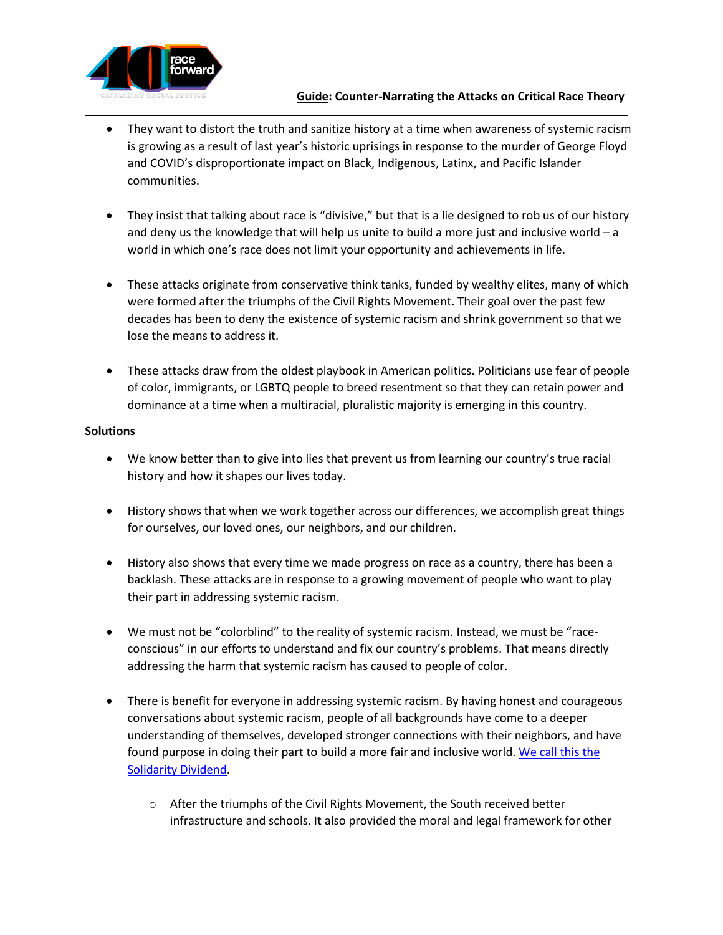

- They want to distort the truth and sanitize history at a time when awareness of systemic racism is growing as a result of last year's historic uprisings in response to the murder of George Floyd and COVID's disproportionate impact on Black, Indigenous, Latinx, and Pacific Islander communities.
- They insist that talking about race is "divisive," but that is a lie designed to rob us of our history and deny us the knowledge that will help us unite to build a more just and inclusive world – a world in which one's race does not limit your opportunity and achievements in life.
- These attacks originate from conservative think tanks, funded by wealthy elites, many of which were formed after the triumphs of the Civil Rights Movement. Their goal over the past few decades has been to deny the existence of systemic racism and shrink government so that we lose the means to address it.
- These attacks draw from the oldest playbook in American politics. Politicians use fear of people of color, immigrants, or LGBTQ people to breed resentment so that they can retain power and dominance at a time when a multiracial, pluralistic majority is emerging in this country.

#### **Solutions**

- We know better than to give into lies that prevent us from learning our country's true racial history and how it shapes our lives today.
- History shows that when we work together across our differences, we accomplish great things for ourselves, our loved ones, our neighbors, and our children.
- History also shows that every time we made progress on race as a country, there has been a backlash. These attacks are in response to a growing movement of people who want to play their part in addressing systemic racism.
- We must not be "colorblind" to the reality of systemic racism. Instead, we must be "raceconscious" in our efforts to understand and fix our country's problems. That means directly addressing the harm that systemic racism has caused to people of color.
- There is benefit for everyone in addressing systemic racism. By having honest and courageous conversations about systemic racism, people of all backgrounds have come to a deeper understanding of themselves, developed stronger connections with their neighbors, and have found purpose in doing their part to build a more fair and inclusive world. We call this the [Solidarity Dividend.](https://bookshop.org/books/the-sum-of-us-what-racism-costs-everyone-and-how-we-can-prosper-together/9780525509561)
	- $\circ$  After the triumphs of the Civil Rights Movement, the South received better infrastructure and schools. It also provided the moral and legal framework for other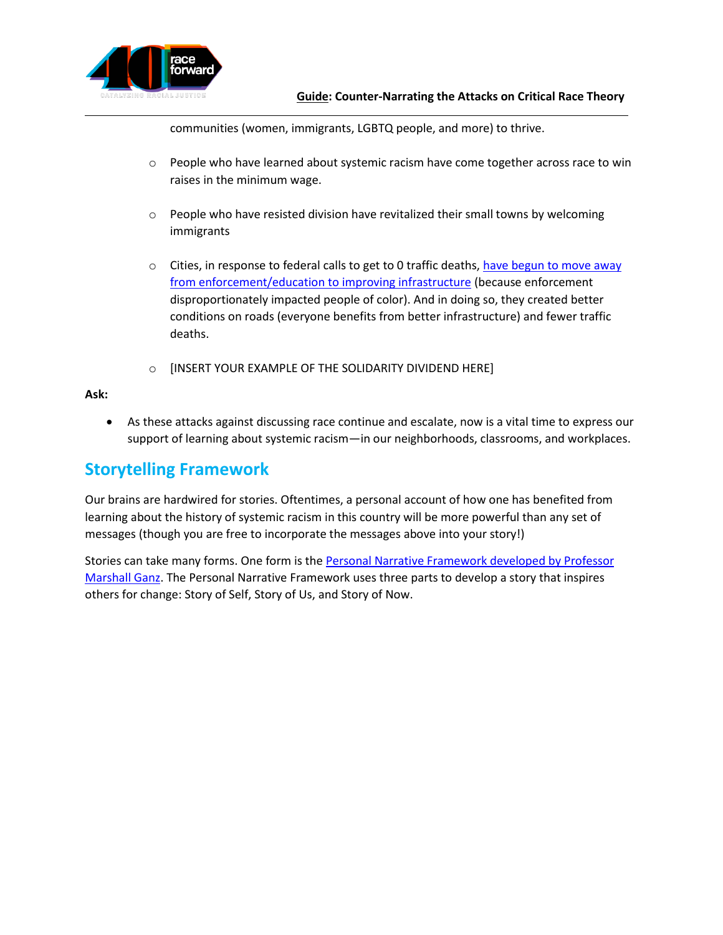

communities (women, immigrants, LGBTQ people, and more) to thrive.

- $\circ$  People who have learned about systemic racism have come together across race to win raises in the minimum wage.
- $\circ$  People who have resisted division have revitalized their small towns by welcoming immigrants
- $\circ$  Cities, in response to federal calls to get to 0 traffic deaths, have begun to move away [from enforcement/education to improving infrastructure](https://visionzeronetwork.org/reflecting-on-lessons-learned-and-working-to-advance-justice-and-equity-in-vision-zero/) (because enforcement disproportionately impacted people of color). And in doing so, they created better conditions on roads (everyone benefits from better infrastructure) and fewer traffic deaths.
- o [INSERT YOUR EXAMPLE OF THE SOLIDARITY DIVIDEND HERE]

#### **Ask:**

• As these attacks against discussing race continue and escalate, now is a vital time to express our support of learning about systemic racism—in our neighborhoods, classrooms, and workplaces.

### <span id="page-7-0"></span>**Storytelling Framework**

Our brains are hardwired for stories. Oftentimes, a personal account of how one has benefited from learning about the history of systemic racism in this country will be more powerful than any set of messages (though you are free to incorporate the messages above into your story!)

Stories can take many forms. One form is the [Personal Narrative Framework developed by Professor](http://marshallganz.usmblogs.com/files/2012/08/Public-Narrative-Worksheet-Fall-2013-.pdf)  [Marshall Ganz.](http://marshallganz.usmblogs.com/files/2012/08/Public-Narrative-Worksheet-Fall-2013-.pdf) The Personal Narrative Framework uses three parts to develop a story that inspires others for change: Story of Self, Story of Us, and Story of Now.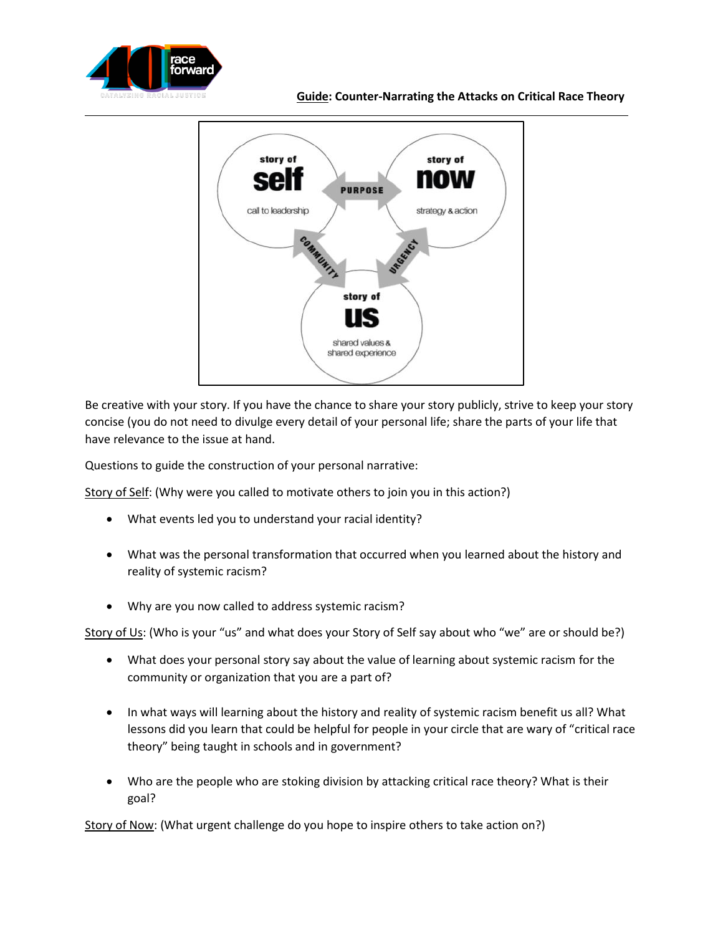



Be creative with your story. If you have the chance to share your story publicly, strive to keep your story concise (you do not need to divulge every detail of your personal life; share the parts of your life that have relevance to the issue at hand.

Questions to guide the construction of your personal narrative:

Story of Self: (Why were you called to motivate others to join you in this action?)

- What events led you to understand your racial identity?
- What was the personal transformation that occurred when you learned about the history and reality of systemic racism?
- Why are you now called to address systemic racism?

Story of Us: (Who is your "us" and what does your Story of Self say about who "we" are or should be?)

- What does your personal story say about the value of learning about systemic racism for the community or organization that you are a part of?
- In what ways will learning about the history and reality of systemic racism benefit us all? What lessons did you learn that could be helpful for people in your circle that are wary of "critical race theory" being taught in schools and in government?
- Who are the people who are stoking division by attacking critical race theory? What is their goal?

Story of Now: (What urgent challenge do you hope to inspire others to take action on?)